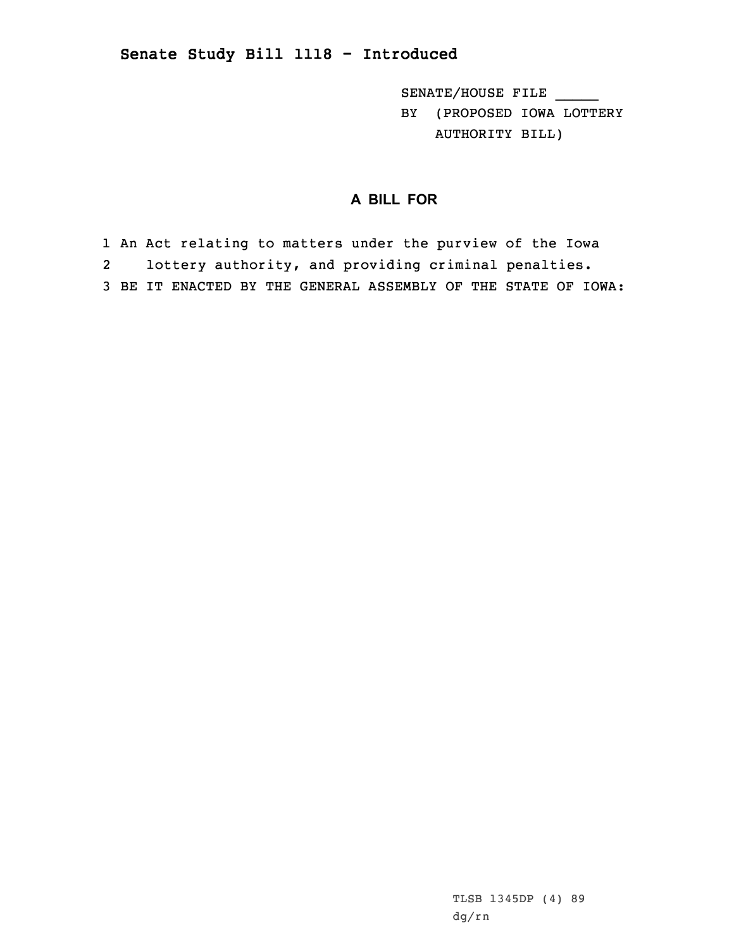## **Senate Study Bill 1118 - Introduced**

SENATE/HOUSE FILE \_\_\_\_\_

BY (PROPOSED IOWA LOTTERY AUTHORITY BILL)

## **A BILL FOR**

1 An Act relating to matters under the purview of the Iowa 2 lottery authority, and providing criminal penalties. 3 BE IT ENACTED BY THE GENERAL ASSEMBLY OF THE STATE OF IOWA:

> TLSB 1345DP (4) 89 dg/rn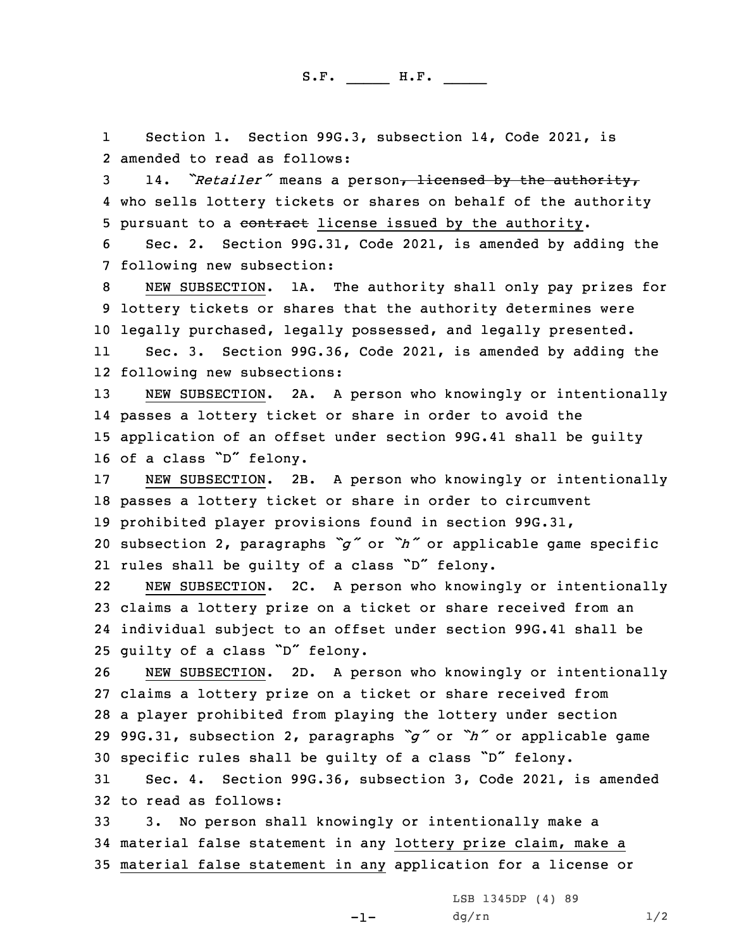S.F. \_\_\_\_\_ H.F. \_\_\_\_

1 Section 1. Section 99G.3, subsection 14, Code 2021, is 2 amended to read as follows:

<sup>3</sup> 14. *"Retailer"* means <sup>a</sup> person, licensed by the authority, 4 who sells lottery tickets or shares on behalf of the authority 5 pursuant to a contract license issued by the authority.

6 Sec. 2. Section 99G.31, Code 2021, is amended by adding the 7 following new subsection:

8 NEW SUBSECTION. 1A. The authority shall only pay prizes for 9 lottery tickets or shares that the authority determines were 10 legally purchased, legally possessed, and legally presented.

11 Sec. 3. Section 99G.36, Code 2021, is amended by adding the 12 following new subsections:

 NEW SUBSECTION. 2A. <sup>A</sup> person who knowingly or intentionally passes <sup>a</sup> lottery ticket or share in order to avoid the application of an offset under section 99G.41 shall be guilty of <sup>a</sup> class "D" felony.

 NEW SUBSECTION. 2B. <sup>A</sup> person who knowingly or intentionally passes <sup>a</sup> lottery ticket or share in order to circumvent prohibited player provisions found in section 99G.31, subsection 2, paragraphs *"g"* or *"h"* or applicable game specific rules shall be guilty of <sup>a</sup> class "D" felony.

22 NEW SUBSECTION. 2C. <sup>A</sup> person who knowingly or intentionally 23 claims <sup>a</sup> lottery prize on <sup>a</sup> ticket or share received from an 24 individual subject to an offset under section 99G.41 shall be <sup>25</sup> guilty of <sup>a</sup> class "D" felony.

 NEW SUBSECTION. 2D. <sup>A</sup> person who knowingly or intentionally claims <sup>a</sup> lottery prize on <sup>a</sup> ticket or share received from <sup>a</sup> player prohibited from playing the lottery under section 99G.31, subsection 2, paragraphs *"g"* or *"h"* or applicable game specific rules shall be guilty of <sup>a</sup> class "D" felony.

31 Sec. 4. Section 99G.36, subsection 3, Code 2021, is amended 32 to read as follows:

33 3. No person shall knowingly or intentionally make <sup>a</sup> 34 material false statement in any lottery prize claim, make <sup>a</sup> 35 material false statement in any application for <sup>a</sup> license or

 $-1-$ 

LSB 1345DP (4) 89  $dg/rn$  1/2